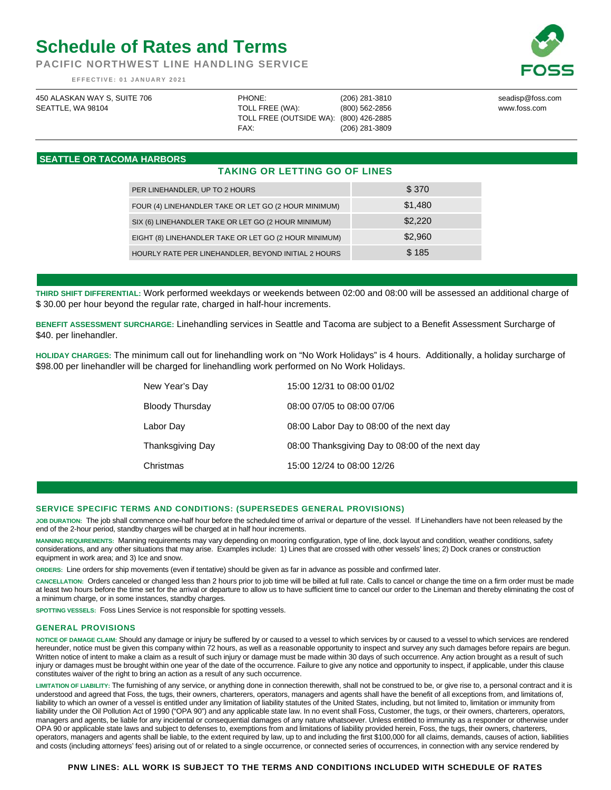# **Schedule of Rates and Terms**

**PACIFIC NORTHWEST LINE HANDLING SERVICE** 

 **EFFECTIVE: 01 JANUARY 2021** 

| 450 ALASKAN WAY S, SUITE 706 | PHONE:                                 | (206) 281-3810 | seadisp@foss.com |
|------------------------------|----------------------------------------|----------------|------------------|
| SEATTLE, WA 98104            | TOLL FREE (WA):                        | (800) 562-2856 | www.foss.com     |
|                              | TOLL FREE (OUTSIDE WA): (800) 426-2885 |                |                  |
|                              | FAX:                                   | (206) 281-3809 |                  |
|                              |                                        |                |                  |

## **SEATTLE OR TACOMA HARBORS**

# **TAKING OR LETTING GO OF LINES**

| PER LINEHANDLER, UP TO 2 HOURS                        | \$370   |
|-------------------------------------------------------|---------|
| FOUR (4) LINEHANDLER TAKE OR LET GO (2 HOUR MINIMUM)  | \$1,480 |
| SIX (6) LINEHANDLER TAKE OR LET GO (2 HOUR MINIMUM)   | \$2,220 |
| EIGHT (8) LINEHANDLER TAKE OR LET GO (2 HOUR MINIMUM) | \$2,960 |
| HOURLY RATE PER LINEHANDLER, BEYOND INITIAL 2 HOURS   | \$185   |

**THIRD SHIFT DIFFERENTIAL:** Work performed weekdays or weekends between 02:00 and 08:00 will be assessed an additional charge of \$ 30.00 per hour beyond the regular rate, charged in half-hour increments.

**BENEFIT ASSESSMENT SURCHARGE:** Linehandling services in Seattle and Tacoma are subject to a Benefit Assessment Surcharge of \$40. per linehandler.

**HOLIDAY CHARGES:** The minimum call out for linehandling work on "No Work Holidays" is 4 hours. Additionally, a holiday surcharge of \$98.00 per linehandler will be charged for linehandling work performed on No Work Holidays.

| New Year's Day         | 15:00 12/31 to 08:00 01/02                      |
|------------------------|-------------------------------------------------|
| <b>Bloody Thursday</b> | 08:00 07/05 to 08:00 07/06                      |
| Labor Day              | 08:00 Labor Day to 08:00 of the next day        |
| Thanksgiving Day       | 08:00 Thanksgiving Day to 08:00 of the next day |
| Christmas              | 15:00 12/24 to 08:00 12/26                      |

### **SERVICE SPECIFIC TERMS AND CONDITIONS: (SUPERSEDES GENERAL PROVISIONS)**

**JOB DURATION:** The job shall commence one-half hour before the scheduled time of arrival or departure of the vessel. If Linehandlers have not been released by the end of the 2-hour period, standby charges will be charged at in half hour increments.

**MANNING REQUIREMENTS:** Manning requirements may vary depending on mooring configuration, type of line, dock layout and condition, weather conditions, safety considerations, and any other situations that may arise. Examples include: 1) Lines that are crossed with other vessels' lines; 2) Dock cranes or construction equipment in work area; and 3) Ice and snow.

**ORDERS:** Line orders for ship movements (even if tentative) should be given as far in advance as possible and confirmed later.

**CANCELLATION:** Orders canceled or changed less than 2 hours prior to job time will be billed at full rate. Calls to cancel or change the time on a firm order must be made at least two hours before the time set for the arrival or departure to allow us to have sufficient time to cancel our order to the Lineman and thereby eliminating the cost of a minimum charge, or in some instances, standby charges.

**SPOTTING VESSELS:** Foss Lines Service is not responsible for spotting vessels.

#### **GENERAL PROVISIONS**

**NOTICE OF DAMAGE CLAIM:** Should any damage or injury be suffered by or caused to a vessel to which services by or caused to a vessel to which services are rendered hereunder, notice must be given this company within 72 hours, as well as a reasonable opportunity to inspect and survey any such damages before repairs are begun. Written notice of intent to make a claim as a result of such injury or damage must be made within 30 days of such occurrence. Any action brought as a result of such injury or damages must be brought within one year of the date of the occurrence. Failure to give any notice and opportunity to inspect, if applicable, under this clause constitutes waiver of the right to bring an action as a result of any such occurrence.

**LIMITATION OF LIABILITY:** The furnishing of any service, or anything done in connection therewith, shall not be construed to be, or give rise to, a personal contract and it is understood and agreed that Foss, the tugs, their owners, charterers, operators, managers and agents shall have the benefit of all exceptions from, and limitations of, liability to which an owner of a vessel is entitled under any limitation of liability statutes of the United States, including, but not limited to, limitation or immunity from liability under the Oil Pollution Act of 1990 ("OPA 90") and any applicable state law. In no event shall Foss, Customer, the tugs, or their owners, charterers, operators, managers and agents, be liable for any incidental or consequential damages of any nature whatsoever. Unless entitled to immunity as a responder or otherwise under OPA 90 or applicable state laws and subject to defenses to, exemptions from and limitations of liability provided herein, Foss, the tugs, their owners, charterers, operators, managers and agents shall be liable, to the extent required by law, up to and including the first \$100,000 for all claims, demands, causes of action, liabilities and costs (including attorneys' fees) arising out of or related to a single occurrence, or connected series of occurrences, in connection with any service rendered by